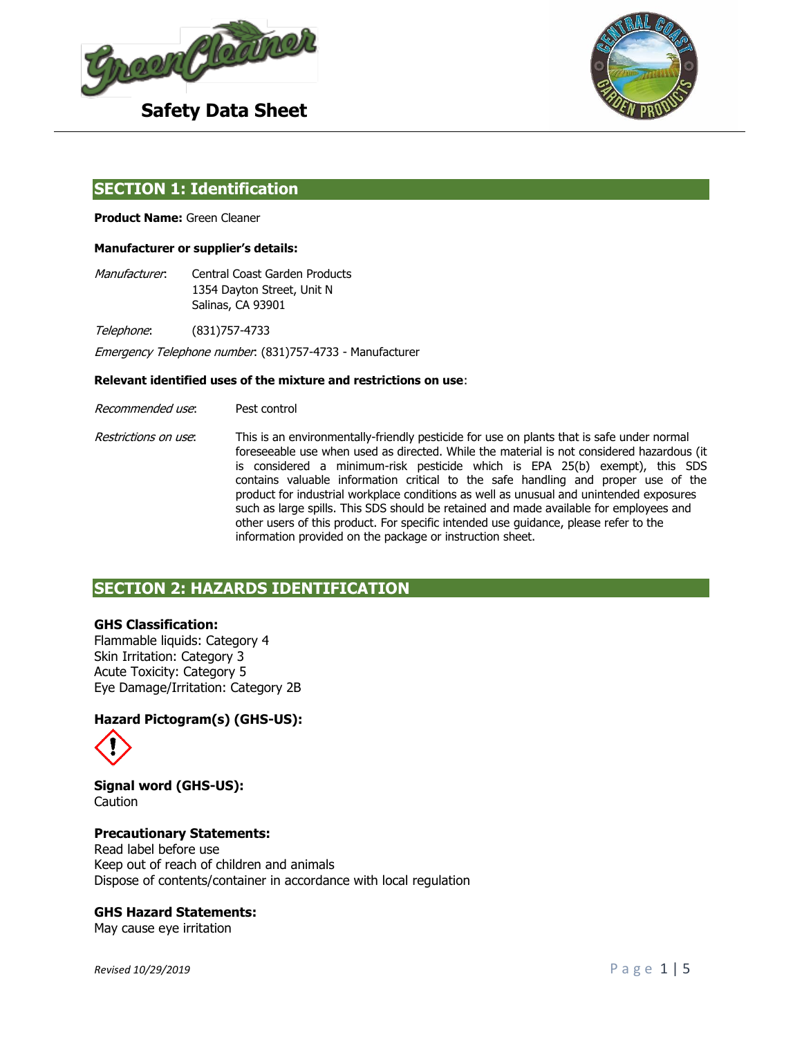



## **SECTION 1: Identification**

**Product Name:** Green Cleaner

#### **Manufacturer or supplier's details:**

Manufacturer: Central Coast Garden Products 1354 Dayton Street, Unit N Salinas, CA 93901

Telephone: (831)757-4733

Emergency Telephone number: (831)757-4733 - Manufacturer

#### **Relevant identified uses of the mixture and restrictions on use**:

- Recommended use: Pest control
- Restrictions on use: This is an environmentally-friendly pesticide for use on plants that is safe under normal foreseeable use when used as directed. While the material is not considered hazardous (it is considered a minimum-risk pesticide which is EPA 25(b) exempt), this SDS contains valuable information critical to the safe handling and proper use of the product for industrial workplace conditions as well as unusual and unintended exposures such as large spills. This SDS should be retained and made available for employees and other users of this product. For specific intended use guidance, please refer to the information provided on the package or instruction sheet.

# **SECTION 2: HAZARDS IDENTIFICATION**

#### **GHS Classification:**

Flammable liquids: Category 4 Skin Irritation: Category 3 Acute Toxicity: Category 5 Eye Damage/Irritation: Category 2B

## **Hazard Pictogram(s) (GHS-US):**



**Signal word (GHS-US):** Caution

#### **Precautionary Statements:**

Read label before use Keep out of reach of children and animals Dispose of contents/container in accordance with local regulation

#### **GHS Hazard Statements:**

May cause eye irritation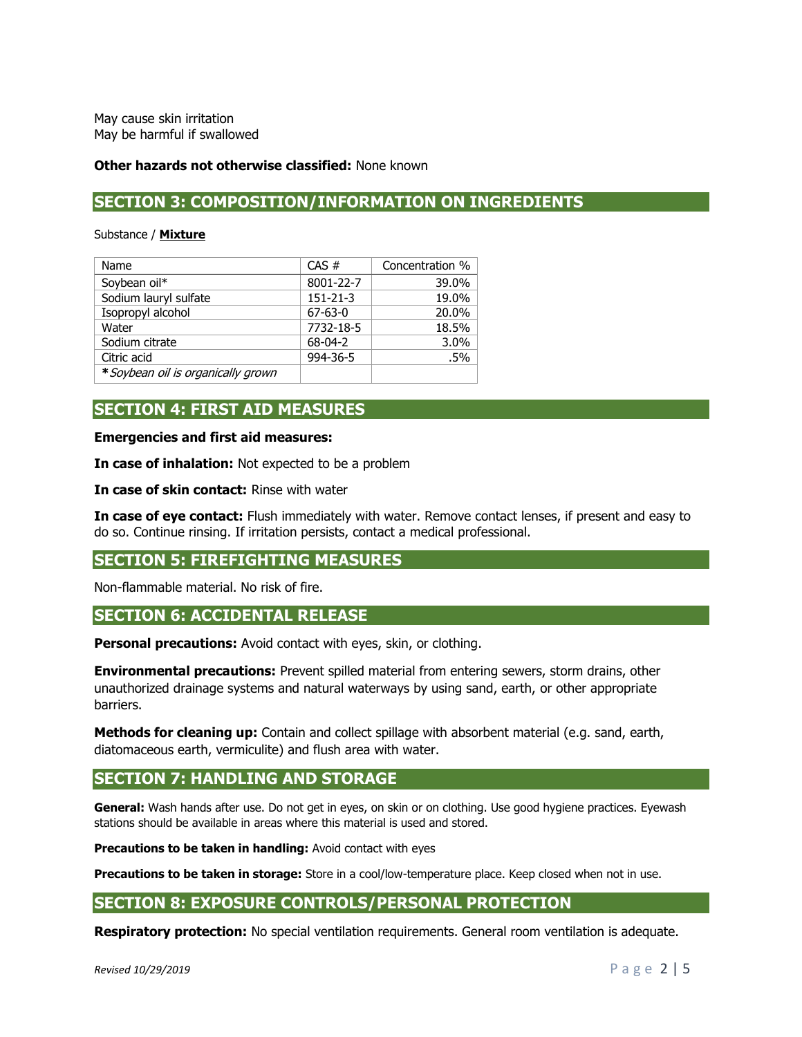May cause skin irritation May be harmful if swallowed

#### **Other hazards not otherwise classified:** None known

# **SECTION 3: COMPOSITION/INFORMATION ON INGREDIENTS**

Substance / **Mixture**

| Name                               | CAS#           | Concentration % |
|------------------------------------|----------------|-----------------|
| Soybean oil*                       | 8001-22-7      | 39.0%           |
| Sodium lauryl sulfate              | $151 - 21 - 3$ | 19.0%           |
| Isopropyl alcohol                  | $67 - 63 - 0$  | 20.0%           |
| Water                              | 7732-18-5      | 18.5%           |
| Sodium citrate                     | $68 - 04 - 2$  | 3.0%            |
| Citric acid                        | 994-36-5       | .5%             |
| * Soybean oil is organically grown |                |                 |

# **SECTION 4: FIRST AID MEASURES**

**Emergencies and first aid measures:**

**In case of inhalation:** Not expected to be a problem

**In case of skin contact:** Rinse with water

**In case of eye contact:** Flush immediately with water. Remove contact lenses, if present and easy to do so. Continue rinsing. If irritation persists, contact a medical professional.

## **SECTION 5: FIREFIGHTING MEASURES**

Non-flammable material. No risk of fire.

## **SECTION 6: ACCIDENTAL RELEASE**

**Personal precautions:** Avoid contact with eyes, skin, or clothing.

**Environmental precautions:** Prevent spilled material from entering sewers, storm drains, other unauthorized drainage systems and natural waterways by using sand, earth, or other appropriate barriers.

**Methods for cleaning up:** Contain and collect spillage with absorbent material (e.g. sand, earth, diatomaceous earth, vermiculite) and flush area with water.

## **SECTION 7: HANDLING AND STORAGE**

**General:** Wash hands after use. Do not get in eyes, on skin or on clothing. Use good hygiene practices. Eyewash stations should be available in areas where this material is used and stored.

**Precautions to be taken in handling:** Avoid contact with eyes

**Precautions to be taken in storage:** Store in a cool/low-temperature place. Keep closed when not in use.

## **SECTION 8: EXPOSURE CONTROLS/PERSONAL PROTECTION**

**Respiratory protection:** No special ventilation requirements. General room ventilation is adequate.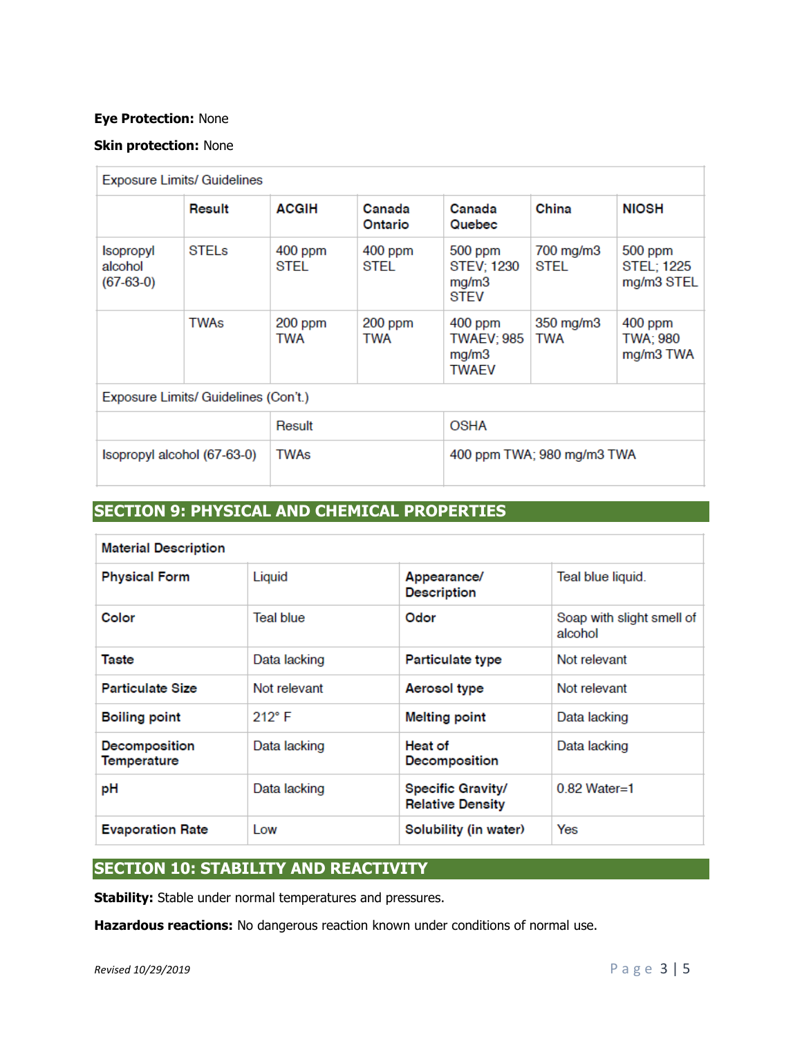## **Eye Protection:** None

## **Skin protection:** None

| <b>Exposure Limits/ Guidelines</b>         |        |                   |                            |                                                         |                   |                                            |
|--------------------------------------------|--------|-------------------|----------------------------|---------------------------------------------------------|-------------------|--------------------------------------------|
|                                            | Result | <b>ACGIH</b>      | Canada<br>Ontario          | Canada<br>Quebec                                        | China             | <b>NIOSH</b>                               |
| <b>Isopropyl</b><br>alcohol<br>$(67-63-0)$ | STELs  | $400$ ppm<br>STEL | $400$ ppm<br>STEL          | 500 ppm<br><b>STEV: 1230</b><br>mg/m3<br><b>STEV</b>    | 700 mg/m3<br>STEL | 500 ppm<br><b>STEL: 1225</b><br>mg/m3 STEL |
|                                            | TWAs   | $200$ ppm<br>TWA  | 200 ppm<br>TWA             | $400$ ppm<br><b>TWAEV; 985</b><br>mg/m3<br><b>TWAEV</b> | 350 mg/m3<br>TWA  | $400$ ppm<br>TWA: 980<br>mg/m3 TWA         |
| Exposure Limits/ Guidelines (Con't.)       |        |                   |                            |                                                         |                   |                                            |
| Result                                     |        |                   |                            | <b>OSHA</b>                                             |                   |                                            |
| Isopropyl alcohol (67-63-0)                |        | TWAs              | 400 ppm TWA; 980 mg/m3 TWA |                                                         |                   |                                            |

# **SECTION 9: PHYSICAL AND CHEMICAL PROPERTIES**

| <b>Material Description</b>  |                  |                                                        |                                      |  |
|------------------------------|------------------|--------------------------------------------------------|--------------------------------------|--|
| <b>Physical Form</b>         | Liquid           | Teal blue liquid.<br>Appearance/<br><b>Description</b> |                                      |  |
| Color                        | <b>Teal blue</b> | Odor                                                   | Soap with slight smell of<br>alcohol |  |
| <b>Taste</b>                 | Data lacking     | Particulate type                                       | Not relevant                         |  |
| <b>Particulate Size</b>      | Not relevant     | Aerosol type                                           | Not relevant                         |  |
| <b>Boiling point</b>         | $212^{\circ}$ F  | <b>Melting point</b>                                   | Data lacking                         |  |
| Decomposition<br>Temperature | Data lacking     | Heat of<br>Decomposition                               | Data lacking                         |  |
| рH                           | Data lacking     | Specific Gravity/<br><b>Relative Density</b>           | $0.82$ Water=1                       |  |
| <b>Evaporation Rate</b>      | I ow             | Solubility (in water)                                  | Yes                                  |  |

# **SECTION 10: STABILITY AND REACTIVITY**

**Stability:** Stable under normal temperatures and pressures.

**Hazardous reactions:** No dangerous reaction known under conditions of normal use.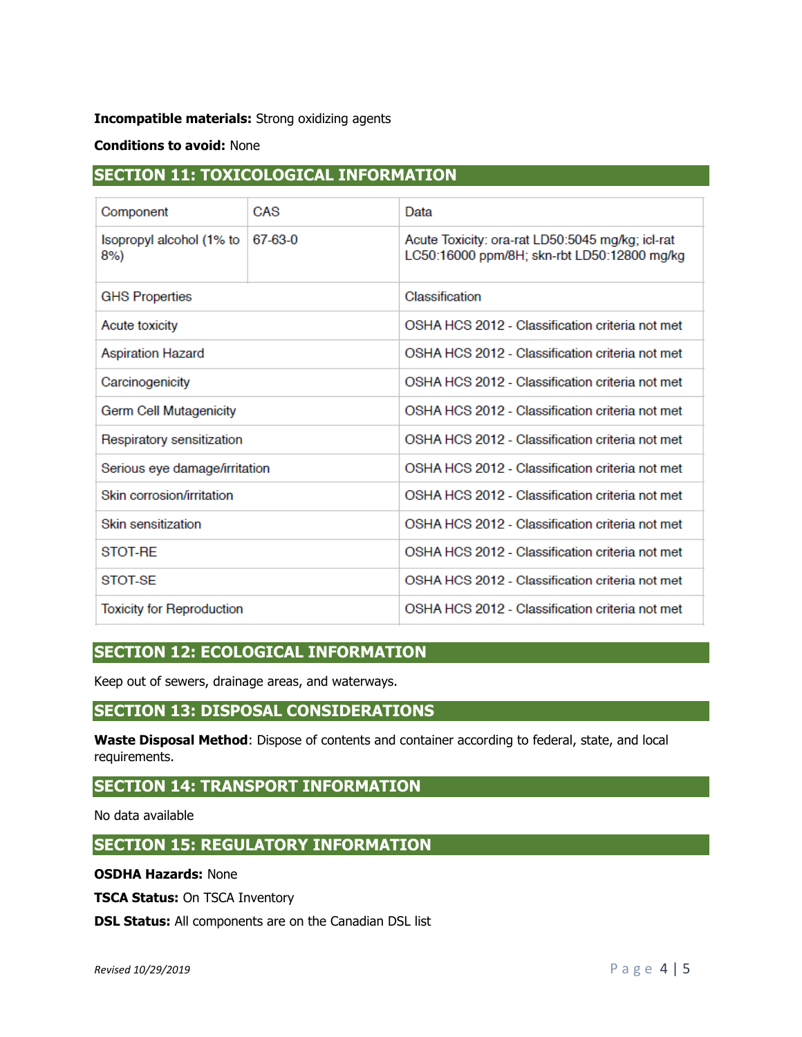## **Incompatible materials:** Strong oxidizing agents

## **Conditions to avoid:** None

# **SECTION 11: TOXICOLOGICAL INFORMATION**

| Component                        | CAS     | Data                                                                                            |  |  |
|----------------------------------|---------|-------------------------------------------------------------------------------------------------|--|--|
| Isopropyl alcohol (1% to<br>8%   | 67-63-0 | Acute Toxicity: ora-rat LD50:5045 mg/kg; icl-rat<br>LC50:16000 ppm/8H; skn-rbt LD50:12800 mg/kg |  |  |
| <b>GHS Properties</b>            |         | Classification                                                                                  |  |  |
| Acute toxicity                   |         | OSHA HCS 2012 - Classification criteria not met                                                 |  |  |
| <b>Aspiration Hazard</b>         |         | OSHA HCS 2012 - Classification criteria not met                                                 |  |  |
| Carcinogenicity                  |         | OSHA HCS 2012 - Classification criteria not met                                                 |  |  |
| Germ Cell Mutagenicity           |         | OSHA HCS 2012 - Classification criteria not met                                                 |  |  |
| Respiratory sensitization        |         | OSHA HCS 2012 - Classification criteria not met                                                 |  |  |
| Serious eye damage/irritation    |         | OSHA HCS 2012 - Classification criteria not met                                                 |  |  |
| Skin corrosion/irritation        |         | OSHA HCS 2012 - Classification criteria not met                                                 |  |  |
| Skin sensitization               |         | OSHA HCS 2012 - Classification criteria not met                                                 |  |  |
| STOT-RF                          |         | OSHA HCS 2012 - Classification criteria not met                                                 |  |  |
| STOT-SE                          |         | OSHA HCS 2012 - Classification criteria not met                                                 |  |  |
| <b>Toxicity for Reproduction</b> |         | OSHA HCS 2012 - Classification criteria not met                                                 |  |  |

# **SECTION 12: ECOLOGICAL INFORMATION**

Keep out of sewers, drainage areas, and waterways.

# **SECTION 13: DISPOSAL CONSIDERATIONS**

**Waste Disposal Method**: Dispose of contents and container according to federal, state, and local requirements.

# **SECTION 14: TRANSPORT INFORMATION**

No data available

## **SECTION 15: REGULATORY INFORMATION**

**OSDHA Hazards:** None

**TSCA Status:** On TSCA Inventory

**DSL Status:** All components are on the Canadian DSL list